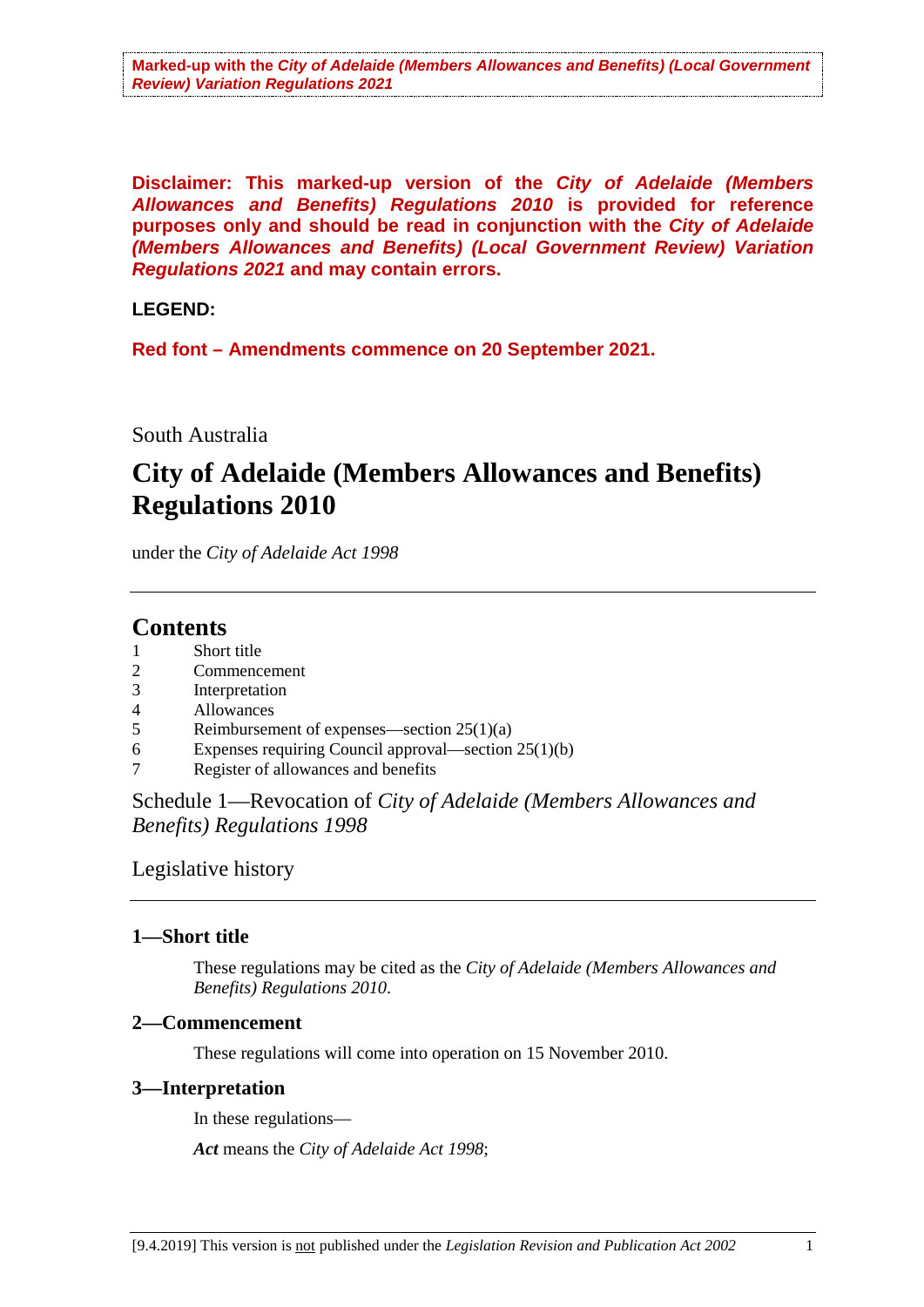**Disclaimer: This marked-up version of the** *City of Adelaide (Members Allowances and Benefits) Regulations 2010* **is provided for reference purposes only and should be read in conjunction with the** *City of Adelaide (Members Allowances and Benefits) (Local Government Review) Variation Regulations 2021* **and may contain errors.**

#### **LEGEND:**

**Red font – Amendments commence on 20 September 2021.**

#### South Australia

# **City of Adelaide (Members Allowances and Benefits) Regulations 2010**

under the *City of Adelaide Act 1998*

# **Contents**

- Short title
- 2 Commencement<br>3 Interpretation
- Interpretation
- 4 Allowances
- 5 Reimbursement of expenses—section 25(1)(a)
- 6 Expenses requiring Council approval—section 25(1)(b)
- 7 Register of allowances and benefits

Schedule 1—Revocation of *City of Adelaide (Members Allowances and Benefits) Regulations 1998*

Legislative history

#### **1—Short title**

These regulations may be cited as the *City of Adelaide (Members Allowances and Benefits) Regulations 2010*.

#### **2—Commencement**

These regulations will come into operation on 15 November 2010.

#### **3—Interpretation**

In these regulations—

*Act* means the *City of Adelaide Act 1998*;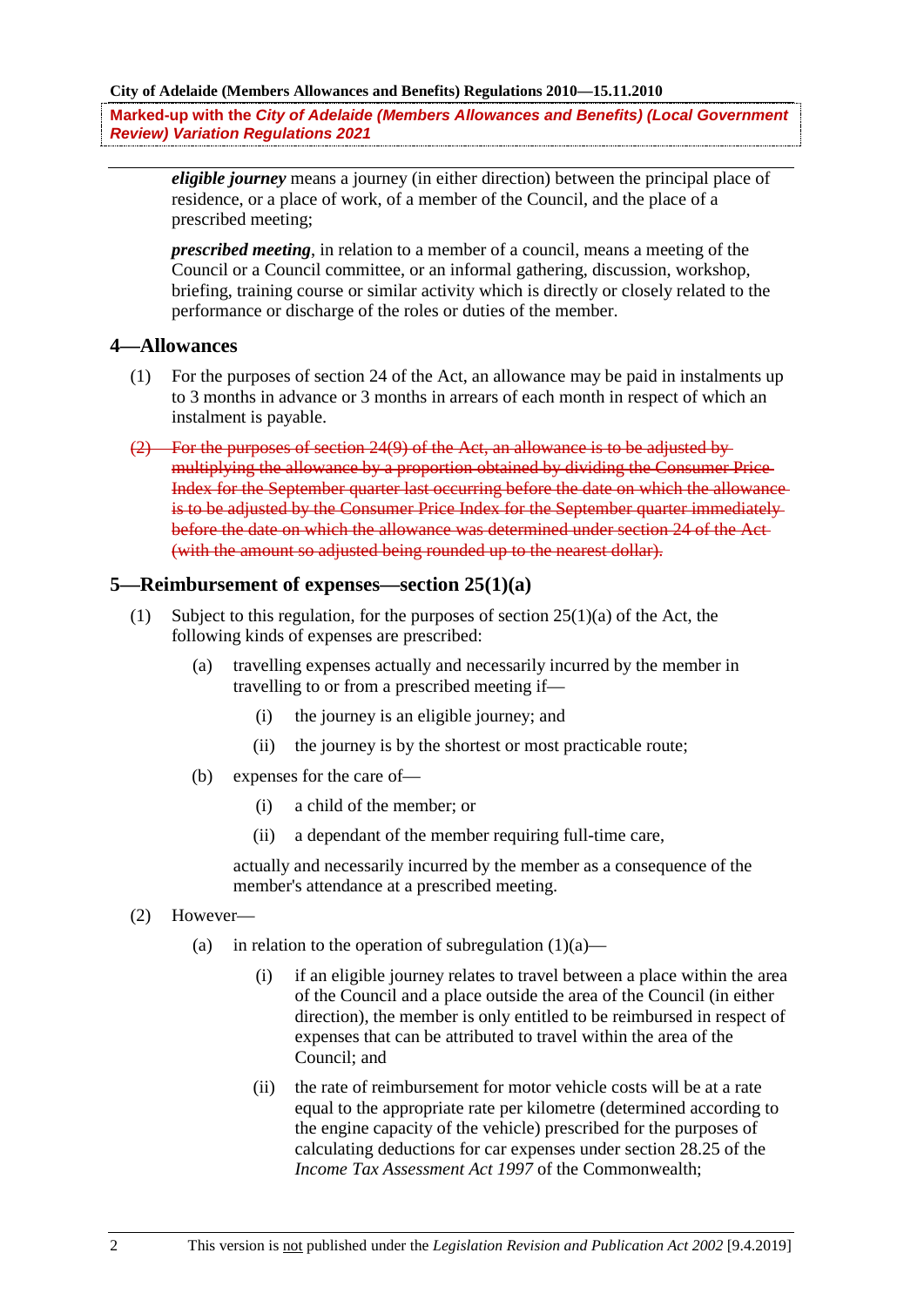**Marked-up with the** *City of Adelaide (Members Allowances and Benefits) (Local Government Review) Variation Regulations 2021* 

*eligible journey* means a journey (in either direction) between the principal place of residence, or a place of work, of a member of the Council, and the place of a prescribed meeting;

*prescribed meeting*, in relation to a member of a council, means a meeting of the Council or a Council committee, or an informal gathering, discussion, workshop, briefing, training course or similar activity which is directly or closely related to the performance or discharge of the roles or duties of the member.

#### **4—Allowances**

- (1) For the purposes of section 24 of the Act, an allowance may be paid in instalments up to 3 months in advance or 3 months in arrears of each month in respect of which an instalment is payable.
- (2) For the purposes of section 24(9) of the Act, an allowance is to be adjusted by multiplying the allowance by a proportion obtained by dividing the Consumer Price Index for the September quarter last occurring before the date on which the allowance is to be adjusted by the Consumer Price Index for the September quarter immediately before the date on which the allowance was determined under section 24 of the Act (with the amount so adjusted being rounded up to the nearest dollar).

#### **5—Reimbursement of expenses—section 25(1)(a)**

- (1) Subject to this regulation, for the purposes of section  $25(1)(a)$  of the Act, the following kinds of expenses are prescribed:
	- (a) travelling expenses actually and necessarily incurred by the member in travelling to or from a prescribed meeting if—
		- (i) the journey is an eligible journey; and
		- (ii) the journey is by the shortest or most practicable route;
	- (b) expenses for the care of—
		- (i) a child of the member; or
		- (ii) a dependant of the member requiring full-time care,

actually and necessarily incurred by the member as a consequence of the member's attendance at a prescribed meeting.

- (2) However—
	- (a) in relation to the operation of subregulation  $(1)(a)$ 
		- (i) if an eligible journey relates to travel between a place within the area of the Council and a place outside the area of the Council (in either direction), the member is only entitled to be reimbursed in respect of expenses that can be attributed to travel within the area of the Council; and
		- (ii) the rate of reimbursement for motor vehicle costs will be at a rate equal to the appropriate rate per kilometre (determined according to the engine capacity of the vehicle) prescribed for the purposes of calculating deductions for car expenses under section 28.25 of the *Income Tax Assessment Act 1997* of the Commonwealth;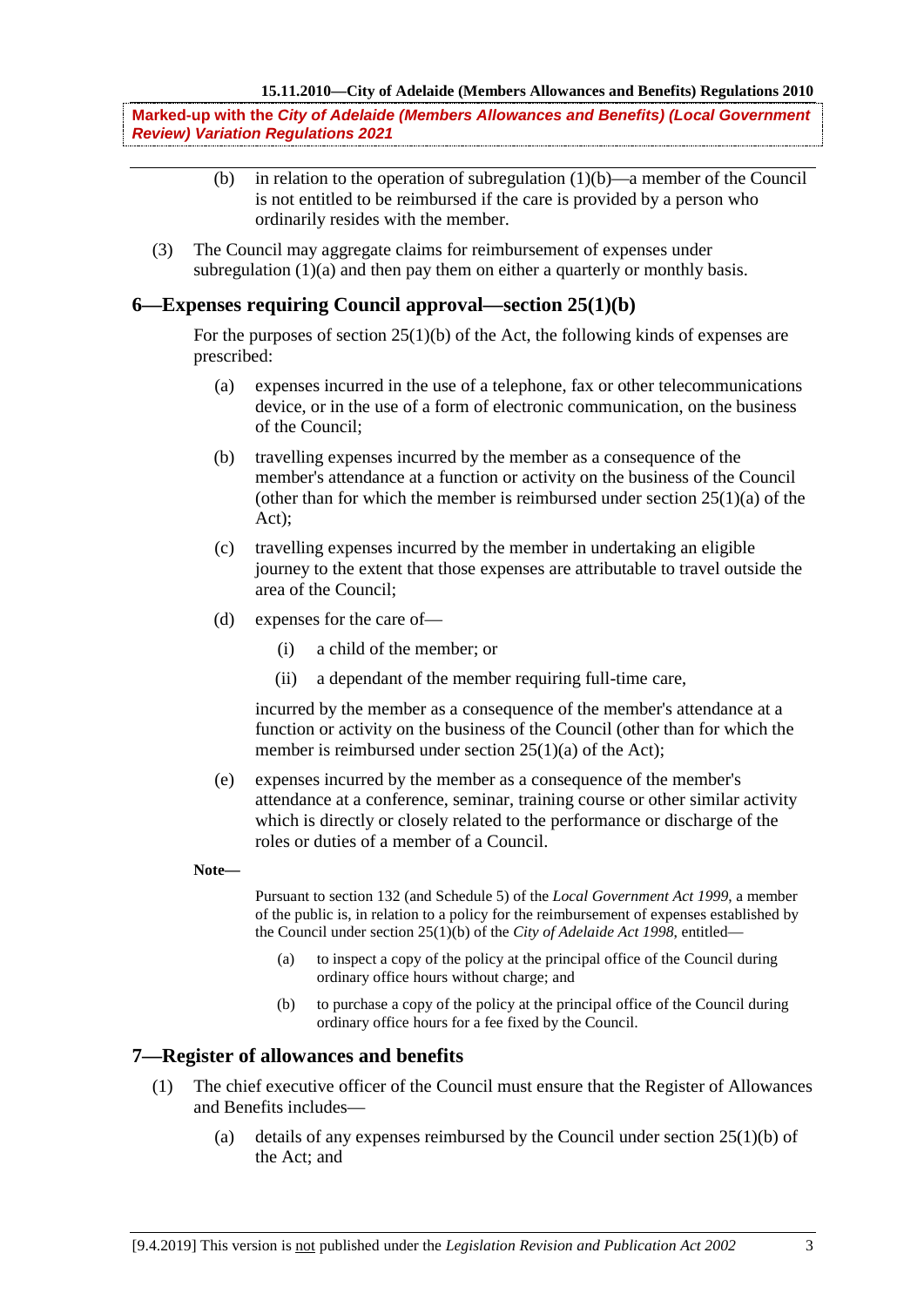**Marked-up with the** *City of Adelaide (Members Allowances and Benefits) (Local Government Review) Variation Regulations 2021* 

- (b) in relation to the operation of subregulation  $(1)(b)$ —a member of the Council is not entitled to be reimbursed if the care is provided by a person who ordinarily resides with the member.
- (3) The Council may aggregate claims for reimbursement of expenses under subregulation (1)(a) and then pay them on either a quarterly or monthly basis.

#### **6—Expenses requiring Council approval—section 25(1)(b)**

For the purposes of section  $25(1)(b)$  of the Act, the following kinds of expenses are prescribed:

- (a) expenses incurred in the use of a telephone, fax or other telecommunications device, or in the use of a form of electronic communication, on the business of the Council;
- (b) travelling expenses incurred by the member as a consequence of the member's attendance at a function or activity on the business of the Council (other than for which the member is reimbursed under section  $25(1)(a)$  of the Act);
- (c) travelling expenses incurred by the member in undertaking an eligible journey to the extent that those expenses are attributable to travel outside the area of the Council;
- (d) expenses for the care of—
	- (i) a child of the member; or
	- (ii) a dependant of the member requiring full-time care,

incurred by the member as a consequence of the member's attendance at a function or activity on the business of the Council (other than for which the member is reimbursed under section 25(1)(a) of the Act);

- (e) expenses incurred by the member as a consequence of the member's attendance at a conference, seminar, training course or other similar activity which is directly or closely related to the performance or discharge of the roles or duties of a member of a Council.
- **Note—**

Pursuant to section 132 (and Schedule 5) of the *Local Government Act 1999*, a member of the public is, in relation to a policy for the reimbursement of expenses established by the Council under section 25(1)(b) of the *City of Adelaide Act 1998*, entitled—

- (a) to inspect a copy of the policy at the principal office of the Council during ordinary office hours without charge; and
- (b) to purchase a copy of the policy at the principal office of the Council during ordinary office hours for a fee fixed by the Council.

#### **7—Register of allowances and benefits**

- (1) The chief executive officer of the Council must ensure that the Register of Allowances and Benefits includes—
	- (a) details of any expenses reimbursed by the Council under section  $25(1)(b)$  of the Act; and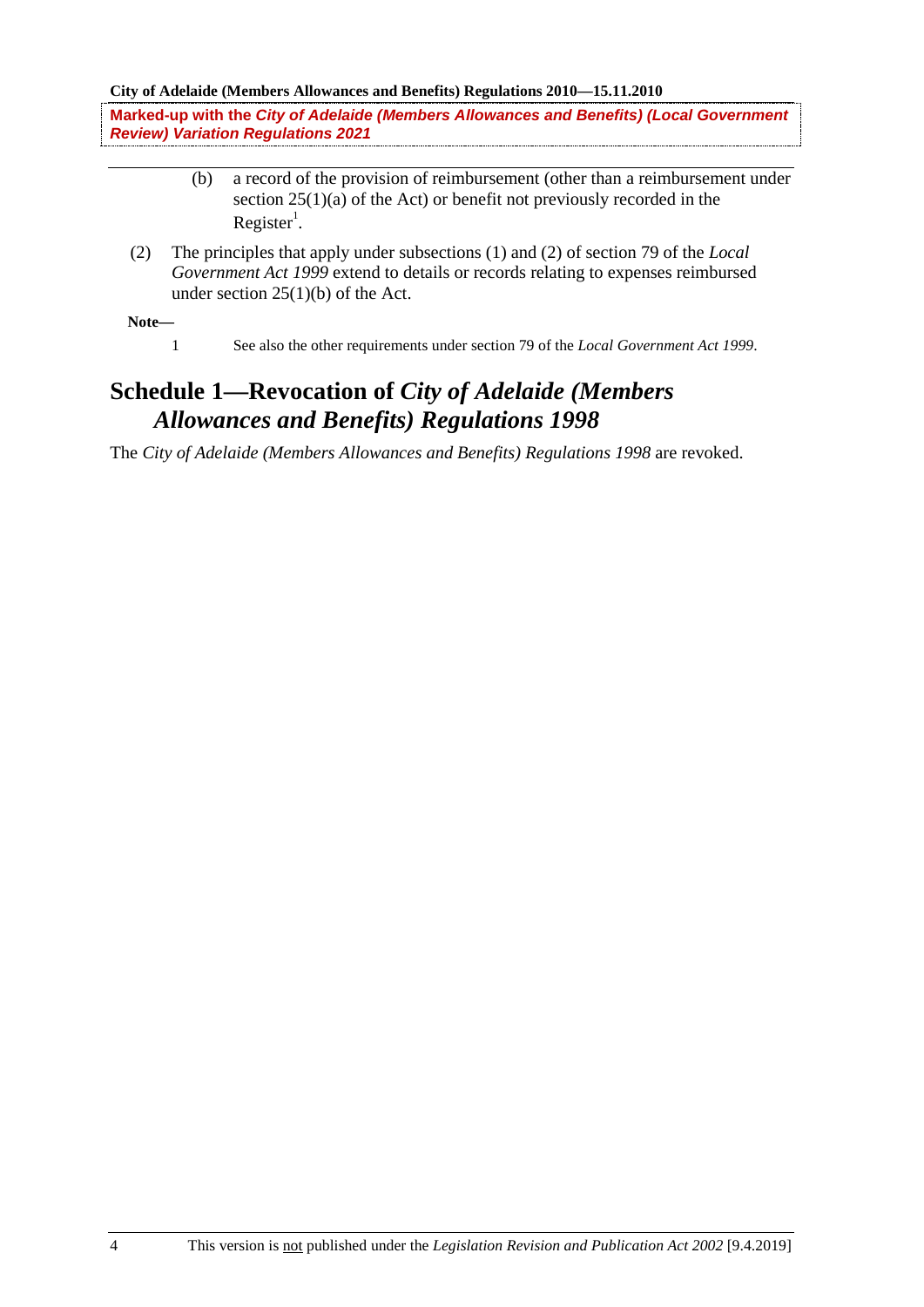**City of Adelaide (Members Allowances and Benefits) Regulations 2010—15.11.2010**

**Marked-up with the** *City of Adelaide (Members Allowances and Benefits) (Local Government Review) Variation Regulations 2021* 

- (b) a record of the provision of reimbursement (other than a reimbursement under section 25(1)(a) of the Act) or benefit not previously recorded in the  $Register<sup>1</sup>$ .
- (2) The principles that apply under subsections (1) and (2) of section 79 of the *Local Government Act 1999* extend to details or records relating to expenses reimbursed under section 25(1)(b) of the Act.

**Note—**

1 See also the other requirements under section 79 of the *Local Government Act 1999*.

## **Schedule 1—Revocation of** *City of Adelaide (Members Allowances and Benefits) Regulations 1998*

The *City of Adelaide (Members Allowances and Benefits) Regulations 1998* are revoked.